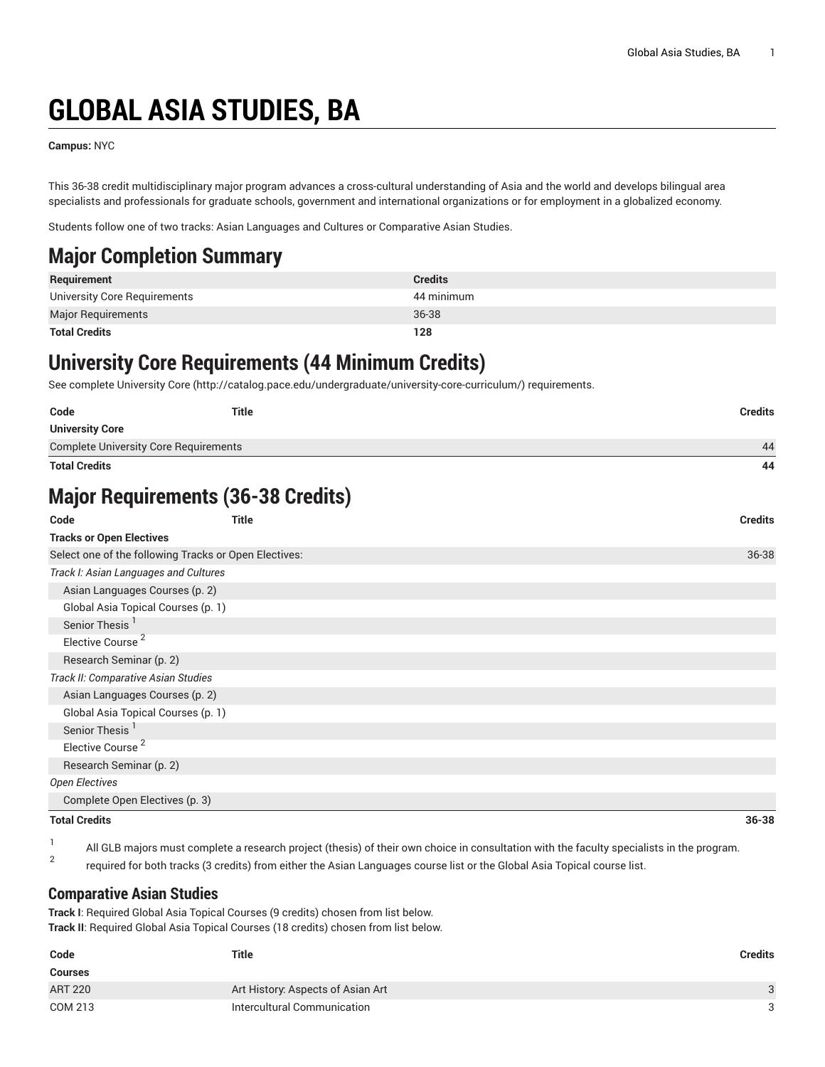# **GLOBAL ASIA STUDIES, BA**

**Campus:** NYC

This 36-38 credit multidisciplinary major program advances a cross-cultural understanding of Asia and the world and develops bilingual area specialists and professionals for graduate schools, government and international organizations or for employment in a globalized economy.

Students follow one of two tracks: Asian Languages and Cultures or Comparative Asian Studies.

## **Major Completion Summary**

| Requirement                  | <b>Credits</b> |
|------------------------------|----------------|
| University Core Requirements | 44 minimum     |
| <b>Major Requirements</b>    | 36-38          |
| <b>Total Credits</b>         | 128            |

## **University Core Requirements (44 Minimum Credits)**

See complete [University](http://catalog.pace.edu/undergraduate/university-core-curriculum/) Core (<http://catalog.pace.edu/undergraduate/university-core-curriculum/>) requirements.

| Code                                                  | <b>Title</b> | <b>Credits</b> |
|-------------------------------------------------------|--------------|----------------|
| <b>University Core</b>                                |              |                |
| <b>Complete University Core Requirements</b>          |              | 44             |
| <b>Total Credits</b>                                  |              | 44             |
| <b>Major Requirements (36-38 Credits)</b>             |              |                |
| Code                                                  | Title        | <b>Credits</b> |
| <b>Tracks or Open Electives</b>                       |              |                |
| Select one of the following Tracks or Open Electives: |              | 36-38          |
| Track I: Asian Languages and Cultures                 |              |                |
| Asian Languages Courses (p. 2)                        |              |                |
| Global Asia Topical Courses (p. 1)                    |              |                |
| Senior Thesis <sup>1</sup>                            |              |                |
| Elective Course <sup>2</sup>                          |              |                |
| Research Seminar (p. 2)                               |              |                |
| Track II: Comparative Asian Studies                   |              |                |
| Asian Languages Courses (p. 2)                        |              |                |
| Global Asia Topical Courses (p. 1)                    |              |                |
| Senior Thesis                                         |              |                |
| Elective Course <sup>2</sup>                          |              |                |
| Research Seminar (p. 2)                               |              |                |
| <b>Open Electives</b>                                 |              |                |
| Complete Open Electives (p. 3)                        |              |                |
| <b>Total Credits</b>                                  |              | 36-38          |

1 All GLB majors must complete a research project (thesis) of their own choice in consultation with the faculty specialists in the program. 2

<span id="page-0-0"></span>required for both tracks (3 credits) from either the Asian Languages course list or the Global Asia Topical course list.

#### **Comparative Asian Studies**

**Track I**: Required Global Asia Topical Courses (9 credits) chosen from list below. **Track II**: Required Global Asia Topical Courses (18 credits) chosen from list below.

| Code           | <b>Title</b>                      | <b>Credits</b> |
|----------------|-----------------------------------|----------------|
| <b>Courses</b> |                                   |                |
| <b>ART 220</b> | Art History: Aspects of Asian Art |                |
| COM 213        | Intercultural Communication       |                |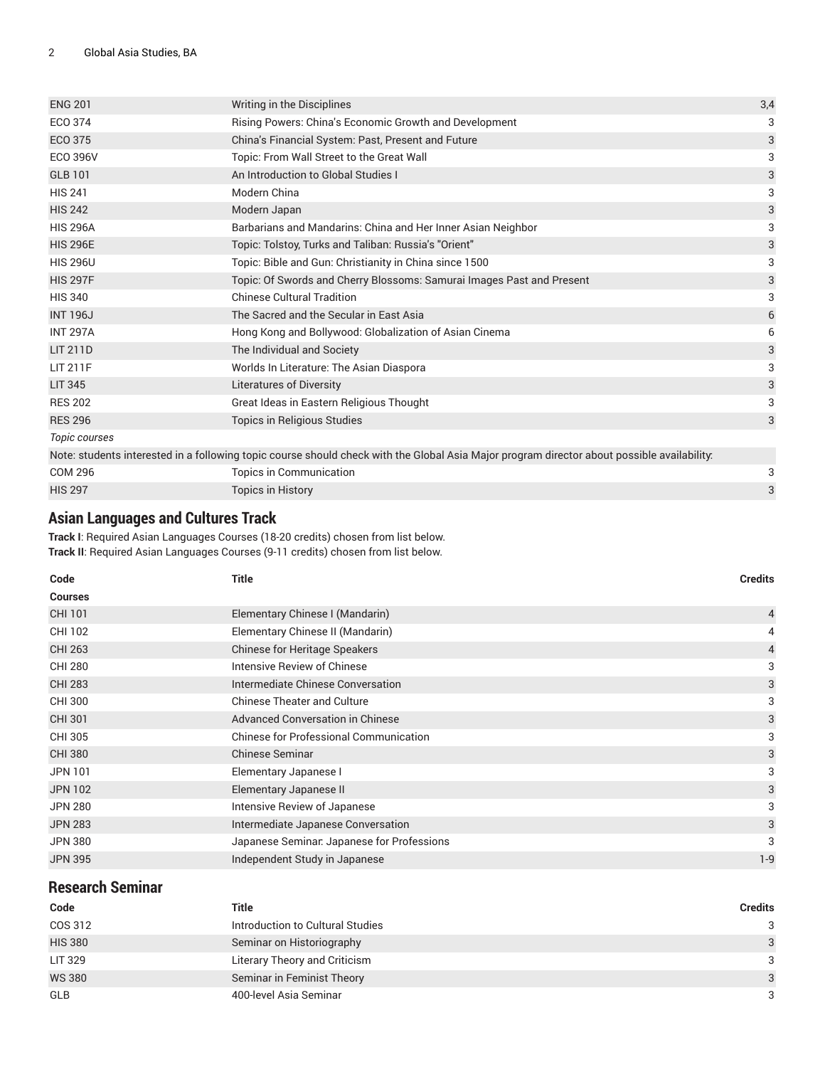| <b>ENG 201</b>  | Writing in the Disciplines                                                                                                                  | 3,4 |
|-----------------|---------------------------------------------------------------------------------------------------------------------------------------------|-----|
| ECO 374         | Rising Powers: China's Economic Growth and Development                                                                                      | 3   |
| <b>ECO 375</b>  | China's Financial System: Past, Present and Future                                                                                          | 3   |
| <b>ECO 396V</b> | Topic: From Wall Street to the Great Wall                                                                                                   | 3   |
| <b>GLB 101</b>  | An Introduction to Global Studies I                                                                                                         | 3   |
| <b>HIS 241</b>  | Modern China                                                                                                                                | 3   |
| <b>HIS 242</b>  | Modern Japan                                                                                                                                | 3   |
| <b>HIS 296A</b> | Barbarians and Mandarins: China and Her Inner Asian Neighbor                                                                                | 3   |
| <b>HIS 296E</b> | Topic: Tolstoy, Turks and Taliban: Russia's "Orient"                                                                                        | 3   |
| <b>HIS 296U</b> | Topic: Bible and Gun: Christianity in China since 1500                                                                                      | 3   |
| <b>HIS 297F</b> | Topic: Of Swords and Cherry Blossoms: Samurai Images Past and Present                                                                       | 3   |
| <b>HIS 340</b>  | <b>Chinese Cultural Tradition</b>                                                                                                           | 3   |
| <b>INT 196J</b> | The Sacred and the Secular in East Asia                                                                                                     | 6   |
| <b>INT 297A</b> | Hong Kong and Bollywood: Globalization of Asian Cinema                                                                                      | 6   |
| <b>LIT 211D</b> | The Individual and Society                                                                                                                  | 3   |
| LIT 211F        | Worlds In Literature: The Asian Diaspora                                                                                                    | 3   |
| <b>LIT 345</b>  | <b>Literatures of Diversity</b>                                                                                                             | 3   |
| <b>RES 202</b>  | Great Ideas in Eastern Religious Thought                                                                                                    | 3   |
| <b>RES 296</b>  | Topics in Religious Studies                                                                                                                 | 3   |
| Topic courses   |                                                                                                                                             |     |
|                 | Note: students interested in a following topic course should check with the Global Asia Major program director about possible availability: |     |
| <b>COM 296</b>  | Topics in Communication                                                                                                                     | 3   |

| <b>UUNIZYU</b> | TODICS III GOITIITIUNICAUOH |  |
|----------------|-----------------------------|--|
| <b>HIS 297</b> | <b>Topics in History</b>    |  |
|                |                             |  |

### <span id="page-1-0"></span>**Asian Languages and Cultures Track**

**Track I**: Required Asian Languages Courses (18-20 credits) chosen from list below. **Track II**: Required Asian Languages Courses (9-11 credits) chosen from list below.

| Code           | <b>Title</b>                               | <b>Credits</b> |
|----------------|--------------------------------------------|----------------|
| <b>Courses</b> |                                            |                |
| CHI 101        | Elementary Chinese I (Mandarin)            | $\overline{4}$ |
| CHI 102        | Elementary Chinese II (Mandarin)           | 4              |
| <b>CHI 263</b> | <b>Chinese for Heritage Speakers</b>       | 4              |
| <b>CHI 280</b> | Intensive Review of Chinese                | 3              |
| <b>CHI 283</b> | Intermediate Chinese Conversation          | 3              |
| CHI 300        | <b>Chinese Theater and Culture</b>         | 3              |
| <b>CHI 301</b> | Advanced Conversation in Chinese           | 3              |
| <b>CHI 305</b> | Chinese for Professional Communication     | 3              |
| <b>CHI 380</b> | <b>Chinese Seminar</b>                     | 3              |
| <b>JPN 101</b> | Elementary Japanese I                      | 3              |
| <b>JPN 102</b> | Elementary Japanese II                     | 3              |
| <b>JPN 280</b> | Intensive Review of Japanese               | 3              |
| <b>JPN 283</b> | Intermediate Japanese Conversation         | 3              |
| <b>JPN 380</b> | Japanese Seminar. Japanese for Professions | 3              |
| <b>JPN 395</b> | Independent Study in Japanese              | $1-9$          |

<span id="page-1-1"></span>

| <b>Research Seminar</b> |                                  |                |
|-------------------------|----------------------------------|----------------|
| Code                    | Title                            | <b>Credits</b> |
| COS 312                 | Introduction to Cultural Studies | 3              |
| <b>HIS 380</b>          | Seminar on Historiography        | 3              |
| <b>LIT 329</b>          | Literary Theory and Criticism    | 3              |
| <b>WS 380</b>           | Seminar in Feminist Theory       | 3              |
| <b>GLB</b>              | 400-level Asia Seminar           | 3              |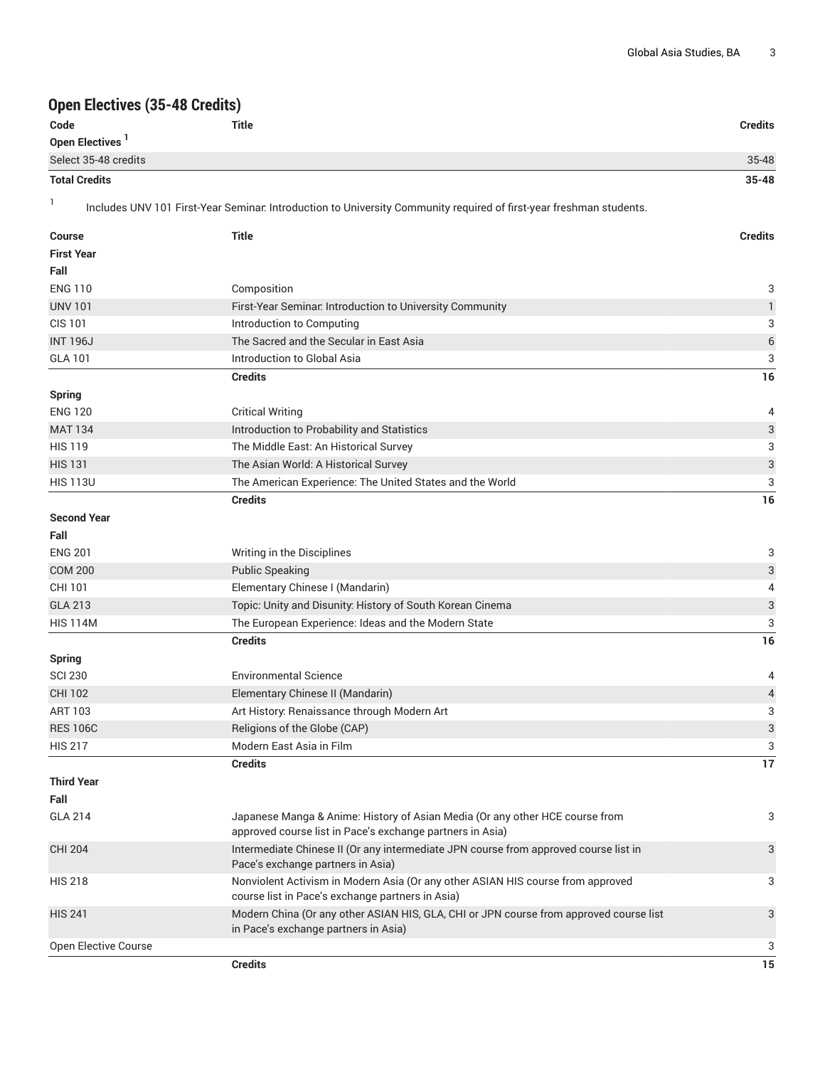#### <span id="page-2-0"></span>**Open Electives (35-48 Credits)**

| Open Electives (35-48 Credits) |                                                                                                                                     |                |
|--------------------------------|-------------------------------------------------------------------------------------------------------------------------------------|----------------|
| Code                           | Title                                                                                                                               | Credits        |
| Open Electives <sup>1</sup>    |                                                                                                                                     |                |
| Select 35-48 credits           |                                                                                                                                     | 35-48          |
| <b>Total Credits</b>           |                                                                                                                                     | $35 - 48$      |
| 1                              | Includes UNV 101 First-Year Seminar. Introduction to University Community required of first-year freshman students.                 |                |
| <b>Course</b>                  | <b>Title</b>                                                                                                                        | <b>Credits</b> |
| <b>First Year</b>              |                                                                                                                                     |                |
| Fall                           |                                                                                                                                     |                |
| <b>ENG 110</b>                 | Composition                                                                                                                         | 3              |
| <b>UNV 101</b>                 | First-Year Seminar. Introduction to University Community                                                                            | $\mathbf{1}$   |
| <b>CIS 101</b>                 | Introduction to Computing                                                                                                           | 3              |
| <b>INT 196J</b>                | The Sacred and the Secular in East Asia                                                                                             | $\epsilon$     |
| <b>GLA 101</b>                 | Introduction to Global Asia                                                                                                         | 3              |
|                                | <b>Credits</b>                                                                                                                      | 16             |
| <b>Spring</b>                  |                                                                                                                                     |                |
| <b>ENG 120</b>                 | <b>Critical Writing</b>                                                                                                             | 4              |
| <b>MAT 134</b>                 | Introduction to Probability and Statistics                                                                                          | 3              |
| <b>HIS 119</b>                 | The Middle East: An Historical Survey                                                                                               | 3              |
| <b>HIS 131</b>                 | The Asian World: A Historical Survey                                                                                                | 3              |
| <b>HIS 113U</b>                | The American Experience: The United States and the World                                                                            | 3              |
|                                | <b>Credits</b>                                                                                                                      | 16             |
| <b>Second Year</b>             |                                                                                                                                     |                |
| Fall                           |                                                                                                                                     |                |
| <b>ENG 201</b>                 | Writing in the Disciplines                                                                                                          | 3              |
| <b>COM 200</b>                 | <b>Public Speaking</b>                                                                                                              | 3              |
| CHI 101                        | Elementary Chinese I (Mandarin)                                                                                                     | 4              |
| <b>GLA 213</b>                 | Topic: Unity and Disunity: History of South Korean Cinema                                                                           | 3              |
| <b>HIS 114M</b>                | The European Experience: Ideas and the Modern State                                                                                 | 3              |
|                                | <b>Credits</b>                                                                                                                      | 16             |
| <b>Spring</b>                  |                                                                                                                                     |                |
| <b>SCI 230</b>                 | <b>Environmental Science</b>                                                                                                        | 4              |
| <b>CHI 102</b>                 | Elementary Chinese II (Mandarin)                                                                                                    | $\overline{4}$ |
| ART 103                        | Art History: Renaissance through Modern Art                                                                                         | 3              |
| <b>RES 106C</b>                | Religions of the Globe (CAP)                                                                                                        | 3              |
| <b>HIS 217</b>                 | Modern East Asia in Film                                                                                                            | 3              |
|                                | <b>Credits</b>                                                                                                                      | 17             |
| <b>Third Year</b>              |                                                                                                                                     |                |
| Fall                           |                                                                                                                                     |                |
| <b>GLA 214</b>                 | Japanese Manga & Anime: History of Asian Media (Or any other HCE course from                                                        | 3              |
|                                | approved course list in Pace's exchange partners in Asia)                                                                           |                |
| <b>CHI 204</b>                 | Intermediate Chinese II (Or any intermediate JPN course from approved course list in<br>Pace's exchange partners in Asia)           | 3              |
| <b>HIS 218</b>                 | Nonviolent Activism in Modern Asia (Or any other ASIAN HIS course from approved<br>course list in Pace's exchange partners in Asia) | 3              |
| <b>HIS 241</b>                 | Modern China (Or any other ASIAN HIS, GLA, CHI or JPN course from approved course list<br>in Pace's exchange partners in Asia)      | 3              |
| Open Elective Course           |                                                                                                                                     | 3              |
|                                | <b>Credits</b>                                                                                                                      | 15             |